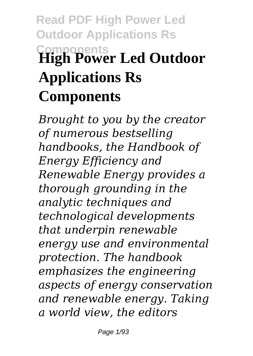# **Read PDF High Power Led Outdoor Applications Rs Components High Power Led Outdoor Applications Rs Components**

*Brought to you by the creator of numerous bestselling handbooks, the Handbook of Energy Efficiency and Renewable Energy provides a thorough grounding in the analytic techniques and technological developments that underpin renewable energy use and environmental protection. The handbook emphasizes the engineering aspects of energy conservation and renewable energy. Taking a world view, the editors*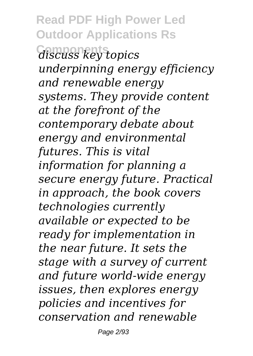**Read PDF High Power Led Outdoor Applications Rs Components** *discuss key topics underpinning energy efficiency and renewable energy systems. They provide content at the forefront of the contemporary debate about energy and environmental futures. This is vital information for planning a secure energy future. Practical in approach, the book covers technologies currently available or expected to be ready for implementation in the near future. It sets the stage with a survey of current and future world-wide energy issues, then explores energy policies and incentives for conservation and renewable*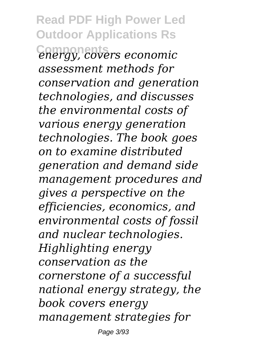**Read PDF High Power Led Outdoor Applications Rs Components** *energy, covers economic assessment methods for conservation and generation technologies, and discusses the environmental costs of various energy generation technologies. The book goes on to examine distributed generation and demand side management procedures and gives a perspective on the efficiencies, economics, and environmental costs of fossil and nuclear technologies. Highlighting energy conservation as the cornerstone of a successful national energy strategy, the book covers energy management strategies for*

Page 3/93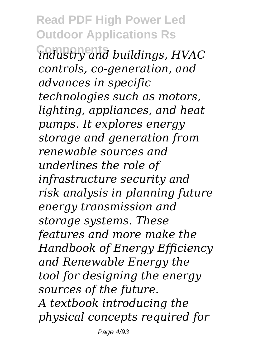**Read PDF High Power Led Outdoor Applications Rs Components** *industry and buildings, HVAC controls, co-generation, and advances in specific technologies such as motors, lighting, appliances, and heat pumps. It explores energy storage and generation from renewable sources and underlines the role of infrastructure security and risk analysis in planning future energy transmission and storage systems. These features and more make the Handbook of Energy Efficiency and Renewable Energy the tool for designing the energy sources of the future. A textbook introducing the physical concepts required for*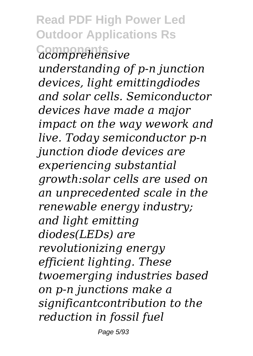**Read PDF High Power Led Outdoor Applications Rs Components** *acomprehensive*

*understanding of p-n junction devices, light emittingdiodes and solar cells. Semiconductor devices have made a major impact on the way wework and live. Today semiconductor p-n junction diode devices are experiencing substantial growth:solar cells are used on an unprecedented scale in the renewable energy industry; and light emitting diodes(LEDs) are revolutionizing energy efficient lighting. These twoemerging industries based on p-n junctions make a significantcontribution to the reduction in fossil fuel*

Page 5/93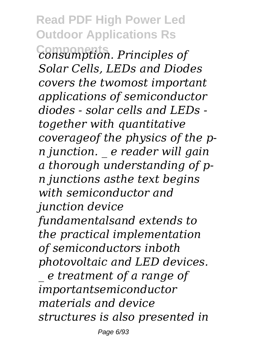### **Read PDF High Power Led Outdoor Applications Rs**

**Components** *consumption. Principles of Solar Cells, LEDs and Diodes covers the twomost important applications of semiconductor diodes - solar cells and LEDs together with quantitative coverageof the physics of the pn junction. \_ e reader will gain a thorough understanding of pn junctions asthe text begins with semiconductor and junction device fundamentalsand extends to the practical implementation of semiconductors inboth photovoltaic and LED devices. \_ e treatment of a range of importantsemiconductor materials and device*

*structures is also presented in*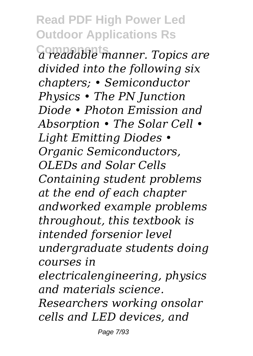## **Read PDF High Power Led Outdoor Applications Rs**

**Components** *a readable manner. Topics are divided into the following six chapters; • Semiconductor Physics • The PN Junction Diode • Photon Emission and Absorption • The Solar Cell • Light Emitting Diodes • Organic Semiconductors, OLEDs and Solar Cells Containing student problems at the end of each chapter andworked example problems throughout, this textbook is intended forsenior level undergraduate students doing courses in electricalengineering, physics and materials science. Researchers working onsolar*

*cells and LED devices, and*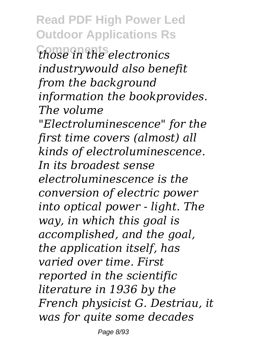**Read PDF High Power Led Outdoor Applications Rs Components** *those in the electronics industrywould also benefit from the background information the bookprovides. The volume "Electroluminescence" for the first time covers (almost) all kinds of electroluminescence. In its broadest sense electroluminescence is the conversion of electric power into optical power - light. The way, in which this goal is accomplished, and the goal, the application itself, has varied over time. First reported in the scientific literature in 1936 by the French physicist G. Destriau, it was for quite some decades*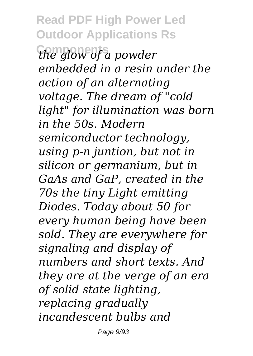**Read PDF High Power Led Outdoor Applications Rs Components** *the glow of a powder embedded in a resin under the action of an alternating voltage. The dream of "cold light" for illumination was born in the 50s. Modern semiconductor technology, using p-n juntion, but not in silicon or germanium, but in GaAs and GaP, created in the 70s the tiny Light emitting Diodes. Today about 50 for every human being have been sold. They are everywhere for signaling and display of numbers and short texts. And they are at the verge of an era of solid state lighting, replacing gradually incandescent bulbs and*

Page 9/93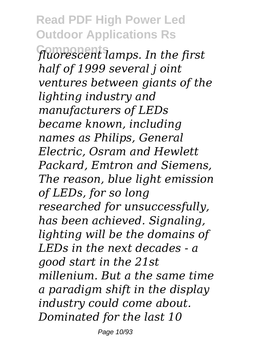**Read PDF High Power Led Outdoor Applications Rs Components** *fluorescent lamps. In the first half of 1999 several j oint ventures between giants of the lighting industry and manufacturers of LEDs became known, including names as Philips, General Electric, Osram and Hewlett Packard, Emtron and Siemens, The reason, blue light emission of LEDs, for so long researched for unsuccessfully, has been achieved. Signaling, lighting will be the domains of LEDs in the next decades - a good start in the 21st millenium. But a the same time a paradigm shift in the display industry could come about. Dominated for the last 10*

Page 10/93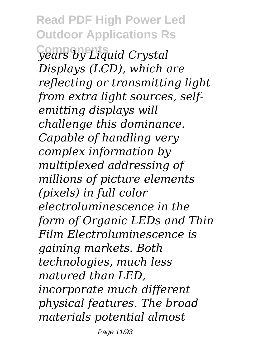**Read PDF High Power Led Outdoor Applications Rs Components** *years by Liquid Crystal Displays (LCD), which are reflecting or transmitting light from extra light sources, selfemitting displays will challenge this dominance. Capable of handling very complex information by multiplexed addressing of millions of picture elements (pixels) in full color electroluminescence in the form of Organic LEDs and Thin Film Electroluminescence is gaining markets. Both technologies, much less matured than LED, incorporate much different physical features. The broad materials potential almost*

Page 11/93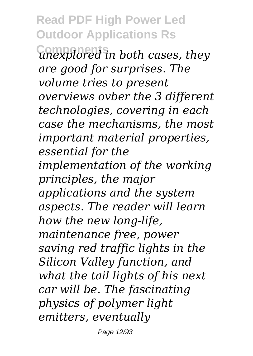**Read PDF High Power Led Outdoor Applications Rs**

**Components** *unexplored in both cases, they are good for surprises. The volume tries to present overviews ovber the 3 different technologies, covering in each case the mechanisms, the most important material properties, essential for the implementation of the working principles, the major applications and the system aspects. The reader will learn how the new long-life, maintenance free, power saving red traffic lights in the Silicon Valley function, and what the tail lights of his next car will be. The fascinating physics of polymer light emitters, eventually*

Page 12/93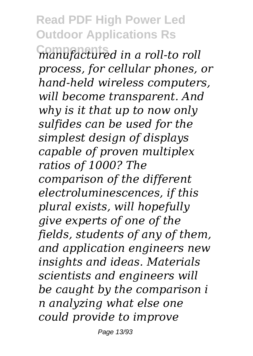### **Read PDF High Power Led Outdoor Applications Rs**

**Components** *manufactured in a roll-to roll process, for cellular phones, or hand-held wireless computers, will become transparent. And why is it that up to now only sulfides can be used for the simplest design of displays capable of proven multiplex ratios of 1000? The comparison of the different electroluminescences, if this plural exists, will hopefully give experts of one of the fields, students of any of them, and application engineers new insights and ideas. Materials scientists and engineers will be caught by the comparison i n analyzing what else one could provide to improve*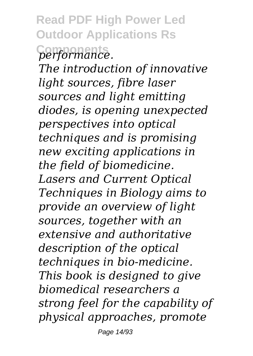**Read PDF High Power Led Outdoor Applications Rs**  $performance.$ 

*The introduction of innovative light sources, fibre laser sources and light emitting diodes, is opening unexpected perspectives into optical techniques and is promising new exciting applications in the field of biomedicine. Lasers and Current Optical Techniques in Biology aims to provide an overview of light sources, together with an extensive and authoritative description of the optical techniques in bio-medicine. This book is designed to give biomedical researchers a strong feel for the capability of physical approaches, promote*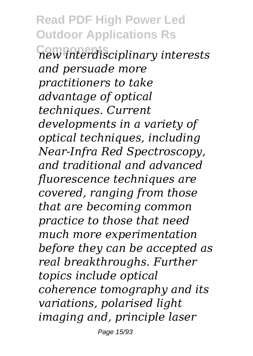**Read PDF High Power Led Outdoor Applications Rs Components** *new interdisciplinary interests and persuade more practitioners to take advantage of optical techniques. Current developments in a variety of optical techniques, including Near-Infra Red Spectroscopy, and traditional and advanced fluorescence techniques are covered, ranging from those that are becoming common practice to those that need much more experimentation before they can be accepted as real breakthroughs. Further topics include optical coherence tomography and its variations, polarised light imaging and, principle laser*

Page 15/93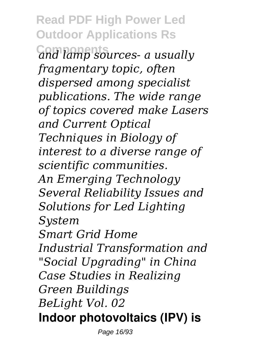**Read PDF High Power Led Outdoor Applications Rs Components** *and lamp sources- a usually fragmentary topic, often dispersed among specialist publications. The wide range of topics covered make Lasers and Current Optical Techniques in Biology of interest to a diverse range of scientific communities. An Emerging Technology Several Reliability Issues and Solutions for Led Lighting System Smart Grid Home Industrial Transformation and "Social Upgrading" in China Case Studies in Realizing Green Buildings BeLight Vol. 02* **Indoor photovoltaics (IPV) is**

Page 16/93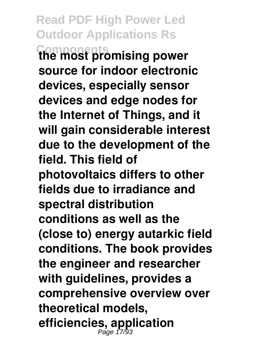**Read PDF High Power Led Outdoor Applications Rs Components the most promising power source for indoor electronic devices, especially sensor devices and edge nodes for the Internet of Things, and it will gain considerable interest due to the development of the field. This field of photovoltaics differs to other fields due to irradiance and spectral distribution conditions as well as the (close to) energy autarkic field conditions. The book provides the engineer and researcher with guidelines, provides a comprehensive overview over theoretical models, efficiencies, application** Page 17/93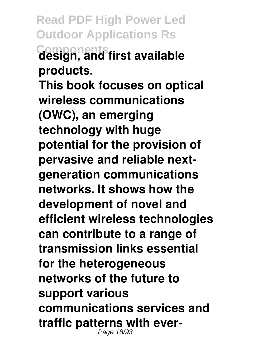**Read PDF High Power Led Outdoor Applications Rs Components design, and first available products.**

**This book focuses on optical wireless communications (OWC), an emerging technology with huge potential for the provision of pervasive and reliable nextgeneration communications networks. It shows how the development of novel and efficient wireless technologies can contribute to a range of transmission links essential for the heterogeneous networks of the future to support various communications services and traffic patterns with ever-**Page 18/93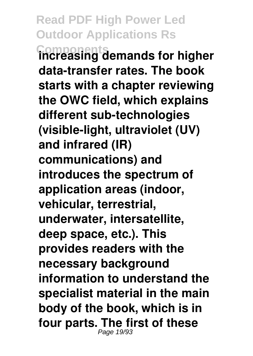**Read PDF High Power Led Outdoor Applications Rs Components increasing demands for higher data-transfer rates. The book starts with a chapter reviewing the OWC field, which explains different sub-technologies (visible-light, ultraviolet (UV) and infrared (IR) communications) and introduces the spectrum of application areas (indoor, vehicular, terrestrial, underwater, intersatellite, deep space, etc.). This provides readers with the necessary background information to understand the specialist material in the main body of the book, which is in four parts. The first of these** Page 19/93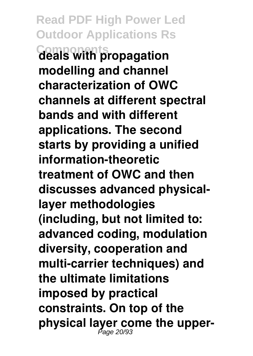**Read PDF High Power Led Outdoor Applications Rs Components deals with propagation modelling and channel characterization of OWC channels at different spectral bands and with different applications. The second starts by providing a unified information-theoretic treatment of OWC and then discusses advanced physicallayer methodologies (including, but not limited to: advanced coding, modulation diversity, cooperation and multi-carrier techniques) and the ultimate limitations imposed by practical constraints. On top of the** physical layer come the upper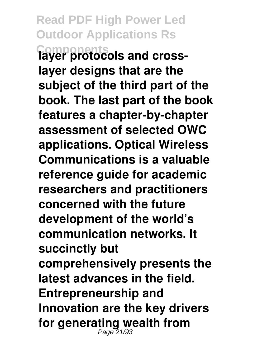**Read PDF High Power Led Outdoor Applications Rs Components layer protocols and crosslayer designs that are the subject of the third part of the book. The last part of the book features a chapter-by-chapter assessment of selected OWC applications. Optical Wireless Communications is a valuable reference guide for academic researchers and practitioners concerned with the future development of the world's communication networks. It succinctly but comprehensively presents the latest advances in the field. Entrepreneurship and Innovation are the key drivers** for generating wealth from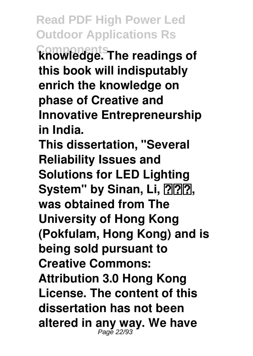**Read PDF High Power Led Outdoor Applications Rs Components knowledge. The readings of this book will indisputably enrich the knowledge on phase of Creative and Innovative Entrepreneurship in India. This dissertation, "Several Reliability Issues and Solutions for LED Lighting** System" by Sinan, Li, **PPP**. **was obtained from The University of Hong Kong (Pokfulam, Hong Kong) and is being sold pursuant to Creative Commons: Attribution 3.0 Hong Kong License. The content of this dissertation has not been altered in any way. We have** Page 22/93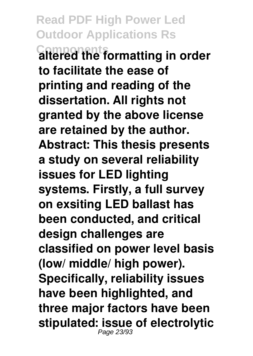**Read PDF High Power Led Outdoor Applications Rs Components altered the formatting in order to facilitate the ease of printing and reading of the dissertation. All rights not granted by the above license are retained by the author. Abstract: This thesis presents a study on several reliability issues for LED lighting systems. Firstly, a full survey on exsiting LED ballast has been conducted, and critical design challenges are classified on power level basis (low/ middle/ high power). Specifically, reliability issues have been highlighted, and three major factors have been stipulated: issue of electrolytic** Page 23/93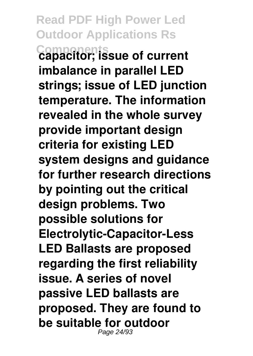**Read PDF High Power Led Outdoor Applications Rs Components capacitor; issue of current imbalance in parallel LED strings; issue of LED junction temperature. The information revealed in the whole survey provide important design criteria for existing LED system designs and guidance for further research directions by pointing out the critical design problems. Two possible solutions for Electrolytic-Capacitor-Less LED Ballasts are proposed regarding the first reliability issue. A series of novel passive LED ballasts are proposed. They are found to be suitable for outdoor** Page 24/93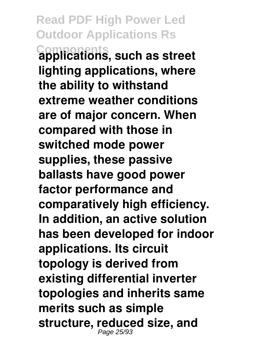**Read PDF High Power Led Outdoor Applications Rs Components applications, such as street lighting applications, where the ability to withstand extreme weather conditions are of major concern. When compared with those in switched mode power supplies, these passive ballasts have good power factor performance and comparatively high efficiency. In addition, an active solution has been developed for indoor applications. Its circuit topology is derived from existing differential inverter topologies and inherits same merits such as simple structure, reduced size, and** Page 25/93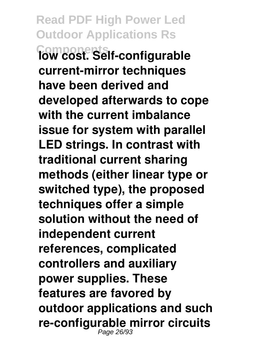**Read PDF High Power Led Outdoor Applications Rs Components low cost. Self-configurable current-mirror techniques have been derived and developed afterwards to cope with the current imbalance issue for system with parallel LED strings. In contrast with traditional current sharing methods (either linear type or switched type), the proposed techniques offer a simple solution without the need of independent current references, complicated controllers and auxiliary power supplies. These features are favored by outdoor applications and such re-configurable mirror circuits** Page 26/93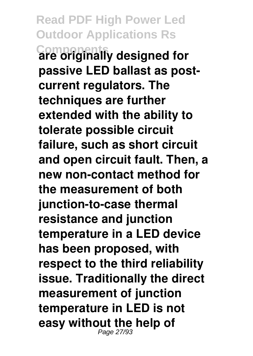**Read PDF High Power Led Outdoor Applications Rs Components are originally designed for passive LED ballast as postcurrent regulators. The techniques are further extended with the ability to tolerate possible circuit failure, such as short circuit and open circuit fault. Then, a new non-contact method for the measurement of both junction-to-case thermal resistance and junction temperature in a LED device has been proposed, with respect to the third reliability issue. Traditionally the direct measurement of junction temperature in LED is not easy without the help of** Page 27/93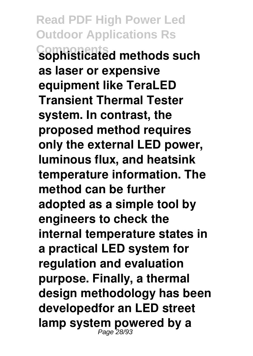**Read PDF High Power Led Outdoor Applications Rs Components sophisticated methods such as laser or expensive equipment like TeraLED Transient Thermal Tester system. In contrast, the proposed method requires only the external LED power, luminous flux, and heatsink temperature information. The method can be further adopted as a simple tool by engineers to check the internal temperature states in a practical LED system for regulation and evaluation purpose. Finally, a thermal design methodology has been developedfor an LED street lamp system powered by a** Page 28/93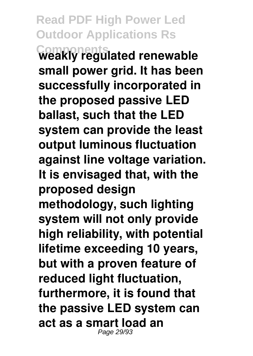**Read PDF High Power Led Outdoor Applications Rs Components weakly regulated renewable small power grid. It has been successfully incorporated in the proposed passive LED ballast, such that the LED system can provide the least output luminous fluctuation against line voltage variation. It is envisaged that, with the proposed design methodology, such lighting system will not only provide high reliability, with potential lifetime exceeding 10 years, but with a proven feature of reduced light fluctuation, furthermore, it is found that the passive LED system can act as a smart load an** Page 29/93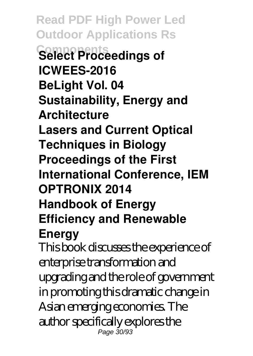**Read PDF High Power Led Outdoor Applications Rs Components Select Proceedings of ICWEES-2016 BeLight Vol. 04 Sustainability, Energy and Architecture Lasers and Current Optical Techniques in Biology Proceedings of the First International Conference, IEM OPTRONIX 2014 Handbook of Energy Efficiency and Renewable Energy** This book discusses the experience of

enterprise transformation and upgrading and the role of government in promoting this dramatic change in Asian emerging economies. The author specifically explores the Page 30/93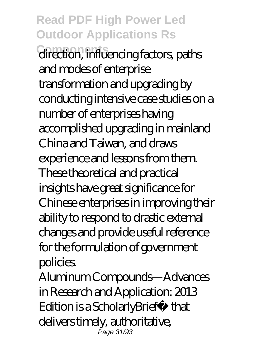**Read PDF High Power Led Outdoor Applications Rs Components** direction, influencing factors, paths and modes of enterprise transformation and upgrading by conducting intensive case studies on a number of enterprises having accomplished upgrading in mainland China and Taiwan, and draws experience and lessons from them. These theoretical and practical insights have great significance for Chinese enterprises in improving their ability to respond to drastic external changes and provide useful reference for the formulation of government policies.

Aluminum Compounds—Advances in Research and Application: 2013 Edition is a ScholarlyBrief™ that delivers timely, authoritative, Page 31/93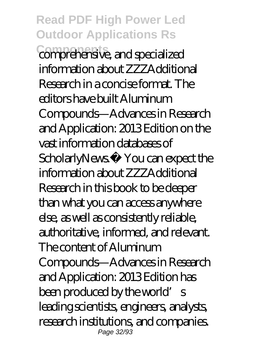**Read PDF High Power Led Outdoor Applications Rs** comprehensive, and specialized information about ZZZAdditional Research in a concise format. The editors have built Aluminum Compounds—Advances in Research and Application: 2013 Edition on the vast information databases of ScholarlyNews<sup>™</sup> You can expect the information about ZZZAdditional Research in this book to be deeper than what you can access anywhere else, as well as consistently reliable, authoritative, informed, and relevant. The content of Aluminum Compounds—Advances in Research and Application: 2013 Edition has been produced by the world's leading scientists, engineers, analysts, research institutions, and companies. Page 32/93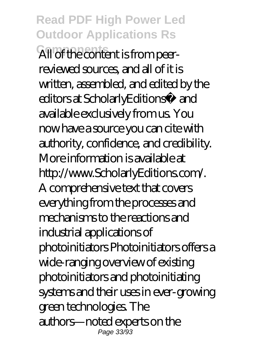**Read PDF High Power Led Outdoor Applications Rs** All of the content is from peerreviewed sources, and all of it is written, assembled, and edited by the editors at ScholarlyEditions™ and available exclusively from us. You now have a source you can cite with authority, confidence, and credibility. More information is available at http://www.ScholarlyEditions.com/. A comprehensive text that covers everything from the processes and mechanisms to the reactions and industrial applications of photoinitiators Photoinitiators offers a wide-ranging overview of existing photoinitiators and photoinitiating systems and their uses in ever-growing green technologies. The authors—noted experts on the Page 33/93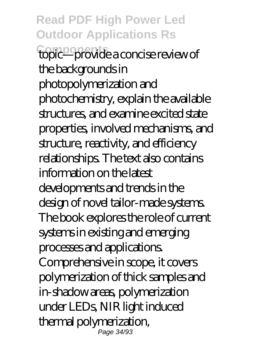**Read PDF High Power Led Outdoor Applications Rs Components** topic—provide a concise review of the backgrounds in photopolymerization and photochemistry, explain the available structures, and examine excited state properties, involved mechanisms, and structure, reactivity, and efficiency relationships. The text also contains information on the latest developments and trends in the design of novel tailor-made systems. The book explores the role of current systems in existing and emerging processes and applications. Comprehensive in scope, it covers polymerization of thick samples and in-shadow areas, polymerization under LEDs, NIR light induced thermal polymerization, Page 34/93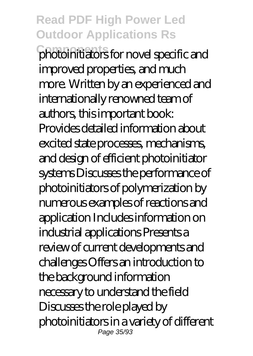**Read PDF High Power Led Outdoor Applications Rs Components** photoinitiators for novel specific and improved properties, and much more. Written by an experienced and internationally renowned team of authors, this important book: Provides detailed information about excited state processes, mechanisms, and design of efficient photoinitiator systems Discusses the performance of photoinitiators of polymerization by numerous examples of reactions and application Includes information on industrial applications Presents a review of current developments and challenges Offers an introduction to the background information necessary to understand the field Discusses the role played by photoinitiators in a variety of different Page 35/93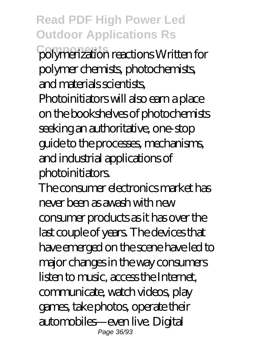#### **Read PDF High Power Led Outdoor Applications Rs**

**Components** polymerization reactions Written for polymer chemists, photochemists, and materials scientists, Photoinitiators will also earn a place on the bookshelves of photochemists seeking an authoritative, one-stop guide to the processes, mechanisms, and industrial applications of photoinitiators.

The consumer electronics market has never been as awash with new consumer products as it has over the last couple of years. The devices that have emerged on the scene have led to major changes in the way consumers listen to music, access the Internet, communicate, watch videos, play games, take photos, operate their automobiles—even live. Digital Page 36/93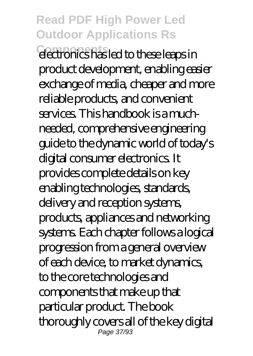## **Read PDF High Power Led Outdoor Applications Rs**

**Components** electronics has led to these leaps in product development, enabling easier exchange of media, cheaper and more reliable products, and convenient services. This handbook is a muchneeded, comprehensive engineering guide to the dynamic world of today's digital consumer electronics. It provides complete details on key enabling technologies, standards, delivery and reception systems, products, appliances and networking systems. Each chapter follows a logical progression from a general overview of each device, to market dynamics, to the core technologies and components that make up that particular product. The book thoroughly covers all of the key digital Page 37/93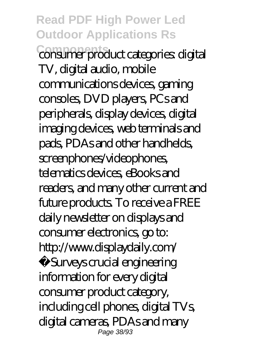**Read PDF High Power Led Outdoor Applications Rs Components** consumer product categories: digital TV, digital audio, mobile communications devices, gaming consoles, DVD players, PCs and peripherals, display devices, digital imaging devices, web terminals and pads, PDAs and other handhelds, screenphones/videophones, telematics devices, eBooks and readers, and many other current and future products. To receive a FREE daily newsletter on displays and consumer electronics, go to: http://www.displaydaily.com/ Surveys crucial engineering information for every digital consumer product category, including cell phones, digital TVs, digital cameras, PDAs and many Page 38/93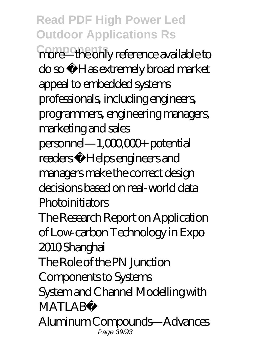**Read PDF High Power Led Outdoor Applications Rs**

**Components** more—the only reference available to do so ·Has extremely broad market appeal to embedded systems professionals, including engineers, programmers, engineering managers, marketing and sales personnel—1,000,000+ potential readers · Helps engineers and managers make the correct design decisions based on real-world data **Photoinitiators** 

The Research Report on Application of Low-carbon Technology in Expo 2010 Shanghai

The Role of the PN Junction

Components to Systems

System and Channel Modelling with MATI AR<sup>®</sup>

Aluminum Compounds—Advances Page 39/93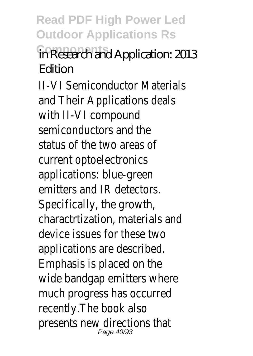**Read PDF High Power Led Outdoor Applications Rs**

**Components** in Research and Application: 2013 Edition

II-VI Semiconductor Materials and Their Applications deals with II-VI compound semiconductors and the status of the two areas of current optoelectronics applications: blue-green emitters and IR detectors. Specifically, the growth, charactrtization, materials and device issues for these two applications are described. Emphasis is placed on the wide bandgap emitters where much progress has occurred recently.The book also presents new directions that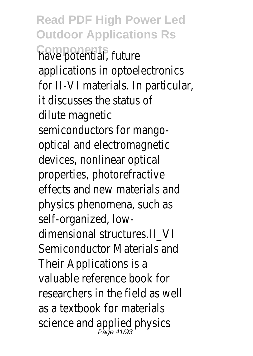**Read PDF High Power Led Outdoor Applications Rs Components** have potential, future applications in optoelectronics for II-VI materials. In particular, it discusses the status of dilute magnetic semiconductors for mangooptical and electromagnetic devices, nonlinear optical properties, photorefractive effects and new materials and physics phenomena, such as self-organized, lowdimensional structures.II\_VI Semiconductor Materials and Their Applications is a valuable reference book for researchers in the field as well as a textbook for materials science and applied physics<br>Page 41/93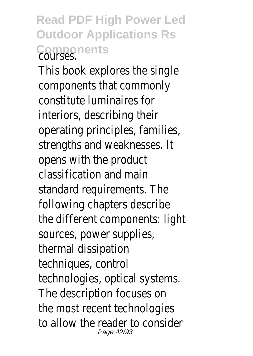**Read PDF High Power Led Outdoor Applications Rs Components** 

This book explores the single components that commonly constitute luminaires for interiors, describing their operating principles, families, strengths and weaknesses. It opens with the product classification and main standard requirements. The following chapters describe the different components: light sources, power supplies, thermal dissipation techniques, control technologies, optical systems. The description focuses on the most recent technologies to allow the reader to consider Page 42/93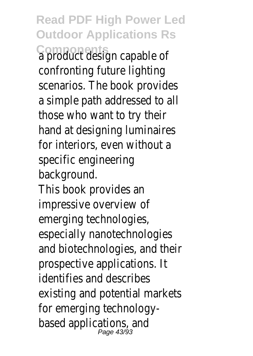**Read PDF High Power Led Outdoor Applications Rs Components** a product design capable of confronting future lighting scenarios. The book provides a simple path addressed to all those who want to try their hand at designing luminaires for interiors, even without a specific engineering background. This book provides an impressive overview of emerging technologies, especially nanotechnologies and biotechnologies, and their prospective applications. It identifies and describes existing and potential markets for emerging technologybased applications, and<br>Page 43/93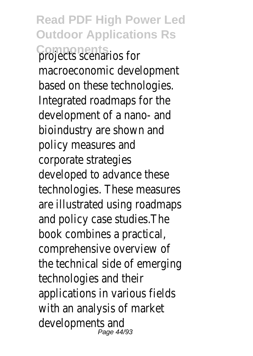**Read PDF High Power Led Outdoor Applications Rs Components** projects scenarios for macroeconomic development based on these technologies. Integrated roadmaps for the development of a nano- and bioindustry are shown and policy measures and corporate strategies developed to advance these technologies. These measures are illustrated using roadmaps and policy case studies.The book combines a practical, comprehensive overview of the technical side of emerging technologies and their applications in various fields with an analysis of market developments and Page 44/93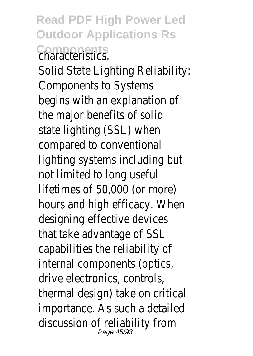**Read PDF High Power Led Outdoor Applications Rs Components**<br>characteristics.

Solid State Lighting Reliability: Components to Systems begins with an explanation of the major benefits of solid state lighting (SSL) when compared to conventional lighting systems including but not limited to long useful lifetimes of 50,000 (or more) hours and high efficacy. When designing effective devices that take advantage of SSL capabilities the reliability of internal components (optics, drive electronics, controls, thermal design) take on critical importance. As such a detailed discussion of reliability from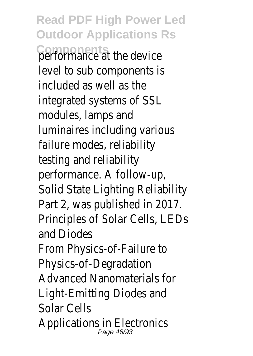**Read PDF High Power Led Outdoor Applications Rs Components** performance at the device level to sub components is included as well as the integrated systems of SSL modules, lamps and luminaires including various failure modes, reliability testing and reliability performance. A follow-up, Solid State Lighting Reliability Part 2, was published in 2017. Principles of Solar Cells, LEDs and Diodes From Physics-of-Failure to Physics-of-Degradation Advanced Nanomaterials for Light-Emitting Diodes and Solar Cells Applications in Electronics Page 46/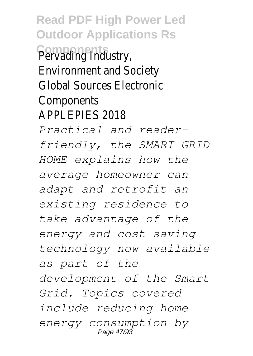**Read PDF High Power Led Outdoor Applications Rs Components** Pervading Industry, Environment and Society Global Sources Electronic **Components** APPLEPIES 2018 *Practical and readerfriendly, the SMART GRID HOME explains how the average homeowner can adapt and retrofit an existing residence to take advantage of the energy and cost saving technology now available as part of the development of the Smart Grid. Topics covered include reducing home energy consumption by* Page 47/93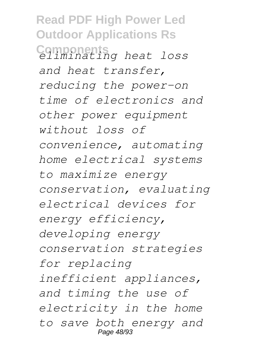**Read PDF High Power Led Outdoor Applications Rs Components** *eliminating heat loss and heat transfer, reducing the power-on time of electronics and other power equipment without loss of convenience, automating home electrical systems to maximize energy conservation, evaluating electrical devices for energy efficiency, developing energy conservation strategies for replacing inefficient appliances, and timing the use of electricity in the home to save both energy and* Page 48/93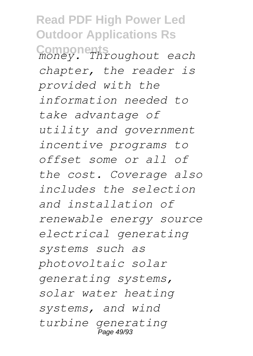**Read PDF High Power Led Outdoor Applications Rs Components** *money. Throughout each chapter, the reader is provided with the information needed to take advantage of utility and government incentive programs to offset some or all of the cost. Coverage also includes the selection and installation of renewable energy source electrical generating systems such as photovoltaic solar generating systems, solar water heating systems, and wind turbine generating* Page 49/93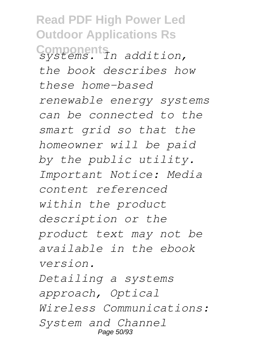**Read PDF High Power Led Outdoor Applications Rs Components** *systems. In addition, the book describes how these home-based renewable energy systems can be connected to the smart grid so that the homeowner will be paid by the public utility. Important Notice: Media content referenced within the product description or the product text may not be available in the ebook version. Detailing a systems approach, Optical Wireless Communications: System and Channel* Page 50/93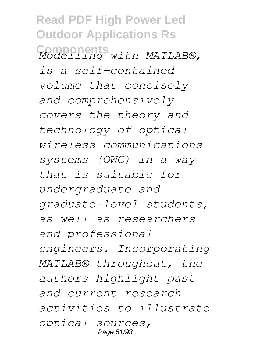**Read PDF High Power Led Outdoor Applications Rs Components** *Modelling with MATLAB®, is a self-contained volume that concisely and comprehensively covers the theory and technology of optical wireless communications systems (OWC) in a way that is suitable for undergraduate and graduate-level students, as well as researchers and professional engineers. Incorporating MATLAB® throughout, the authors highlight past and current research activities to illustrate optical sources,* Page 51/93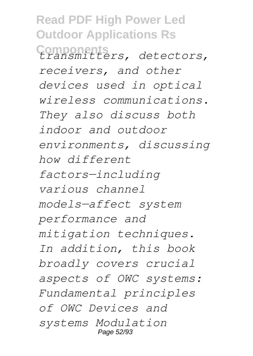**Read PDF High Power Led Outdoor Applications Rs Components** *transmitters, detectors, receivers, and other devices used in optical wireless communications. They also discuss both indoor and outdoor environments, discussing how different factors—including various channel models—affect system performance and mitigation techniques. In addition, this book broadly covers crucial aspects of OWC systems: Fundamental principles of OWC Devices and systems Modulation* Page 52/93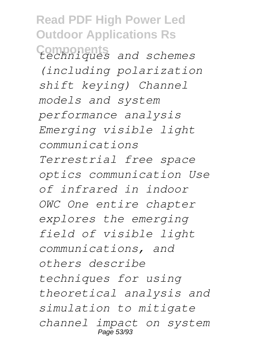**Read PDF High Power Led Outdoor Applications Rs Components** *techniques and schemes (including polarization shift keying) Channel models and system performance analysis Emerging visible light communications Terrestrial free space optics communication Use of infrared in indoor OWC One entire chapter explores the emerging field of visible light communications, and others describe techniques for using theoretical analysis and simulation to mitigate channel impact on system* Page 53/93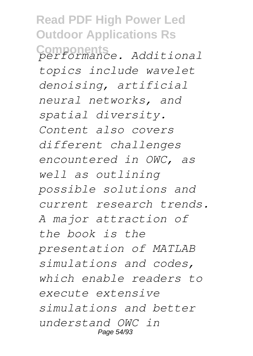**Read PDF High Power Led Outdoor Applications Rs Components** *performance. Additional topics include wavelet denoising, artificial neural networks, and spatial diversity. Content also covers different challenges encountered in OWC, as well as outlining possible solutions and current research trends. A major attraction of the book is the presentation of MATLAB simulations and codes, which enable readers to execute extensive simulations and better understand OWC in* Page 54/93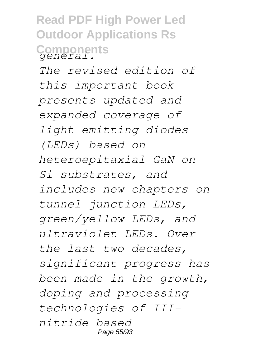**Read PDF High Power Led Outdoor Applications Rs Components** *general.*

*The revised edition of this important book presents updated and expanded coverage of light emitting diodes (LEDs) based on heteroepitaxial GaN on Si substrates, and includes new chapters on tunnel junction LEDs, green/yellow LEDs, and ultraviolet LEDs. Over the last two decades, significant progress has been made in the growth, doping and processing technologies of IIInitride based* Page 55/93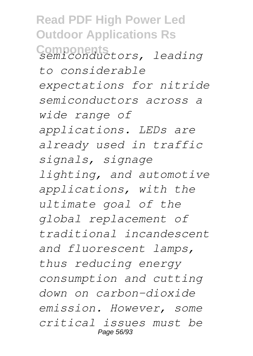**Read PDF High Power Led Outdoor Applications Rs Components** *semiconductors, leading to considerable expectations for nitride semiconductors across a wide range of applications. LEDs are already used in traffic signals, signage lighting, and automotive applications, with the ultimate goal of the global replacement of traditional incandescent and fluorescent lamps, thus reducing energy consumption and cutting down on carbon-dioxide emission. However, some critical issues must be* Page 56/93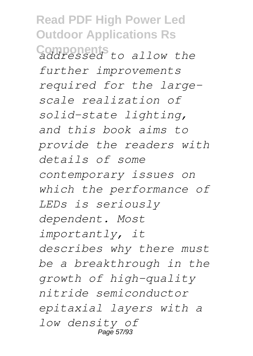**Read PDF High Power Led Outdoor Applications Rs Components** *addressed to allow the further improvements required for the largescale realization of solid-state lighting, and this book aims to provide the readers with details of some contemporary issues on which the performance of LEDs is seriously dependent. Most importantly, it describes why there must be a breakthrough in the growth of high-quality nitride semiconductor epitaxial layers with a low density of* Page 57/93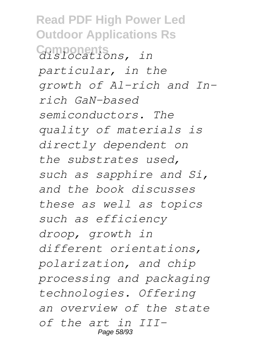**Read PDF High Power Led Outdoor Applications Rs Components** *dislocations, in particular, in the growth of Al-rich and Inrich GaN-based semiconductors. The quality of materials is directly dependent on the substrates used, such as sapphire and Si, and the book discusses these as well as topics such as efficiency droop, growth in different orientations, polarization, and chip processing and packaging technologies. Offering an overview of the state of the art in III-*Page 58/93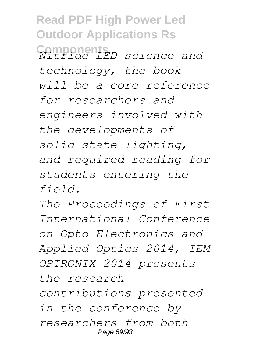**Read PDF High Power Led Outdoor Applications Rs Components** *Nitride LED science and technology, the book will be a core reference for researchers and engineers involved with the developments of solid state lighting, and required reading for students entering the field.*

*The Proceedings of First International Conference on Opto-Electronics and Applied Optics 2014, IEM OPTRONIX 2014 presents the research contributions presented in the conference by researchers from both* Page 59/93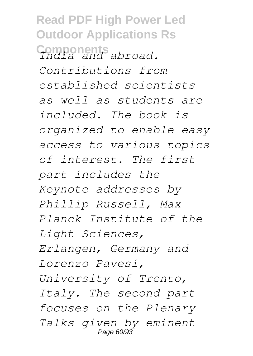**Read PDF High Power Led Outdoor Applications Rs Components** *India and abroad. Contributions from established scientists as well as students are included. The book is organized to enable easy access to various topics of interest. The first part includes the Keynote addresses by Phillip Russell, Max Planck Institute of the Light Sciences, Erlangen, Germany and Lorenzo Pavesi, University of Trento, Italy. The second part focuses on the Plenary Talks given by eminent* Page 60/93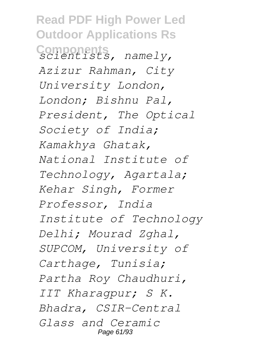**Read PDF High Power Led Outdoor Applications Rs Components** *scientists, namely, Azizur Rahman, City University London, London; Bishnu Pal, President, The Optical Society of India; Kamakhya Ghatak, National Institute of Technology, Agartala; Kehar Singh, Former Professor, India Institute of Technology Delhi; Mourad Zghal, SUPCOM, University of Carthage, Tunisia; Partha Roy Chaudhuri, IIT Kharagpur; S K. Bhadra, CSIR-Central Glass and Ceramic* Page 61/93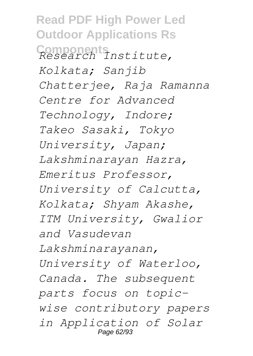**Read PDF High Power Led Outdoor Applications Rs Components** *Research Institute, Kolkata; Sanjib Chatterjee, Raja Ramanna Centre for Advanced Technology, Indore; Takeo Sasaki, Tokyo University, Japan; Lakshminarayan Hazra, Emeritus Professor, University of Calcutta, Kolkata; Shyam Akashe, ITM University, Gwalior and Vasudevan Lakshminarayanan, University of Waterloo, Canada. The subsequent parts focus on topicwise contributory papers in Application of Solar* Page 62/93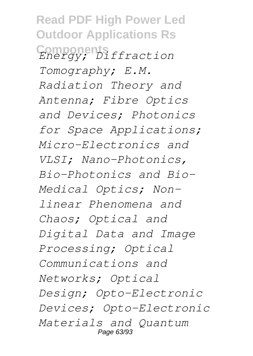**Read PDF High Power Led Outdoor Applications Rs Components** *Energy; Diffraction Tomography; E.M. Radiation Theory and Antenna; Fibre Optics and Devices; Photonics for Space Applications; Micro-Electronics and VLSI; Nano-Photonics, Bio-Photonics and Bio-Medical Optics; Nonlinear Phenomena and Chaos; Optical and Digital Data and Image Processing; Optical Communications and Networks; Optical Design; Opto-Electronic Devices; Opto-Electronic Materials and Quantum* Page 63/93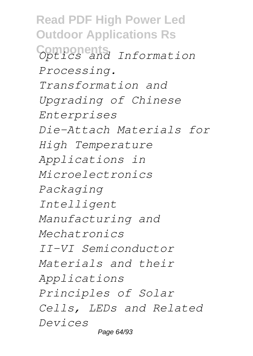**Read PDF High Power Led Outdoor Applications Rs Components** *Optics and Information Processing. Transformation and Upgrading of Chinese Enterprises Die-Attach Materials for High Temperature Applications in Microelectronics Packaging Intelligent Manufacturing and Mechatronics II-VI Semiconductor Materials and their Applications Principles of Solar Cells, LEDs and Related Devices* Page 64/93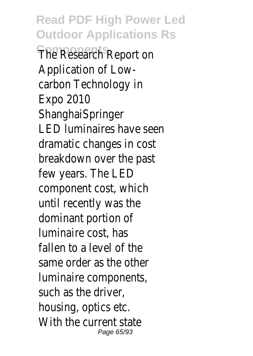**Read PDF High Power Led Outdoor Applications Rs The Research Report on** Application of Lowcarbon Technology in Expo 2010 **ShanghaiSpringer** LED luminaires have seen dramatic changes in cost breakdown over the past few years. The LED component cost, which until recently was the dominant portion of luminaire cost, has fallen to a level of the same order as the other luminaire components, such as the driver, housing, optics etc. With the current state Page 65/93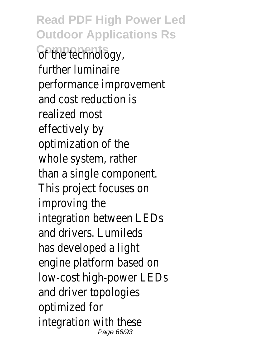**Read PDF High Power Led Outdoor Applications Rs Components** of the technology, further luminaire performance improvement and cost reduction is realized most effectively by optimization of the whole system, rather than a single component. This project focuses on improving the integration between LEDs and drivers. Lumileds has developed a light engine platform based on low-cost high-power LEDs and driver topologies optimized for integration with these Page 66/93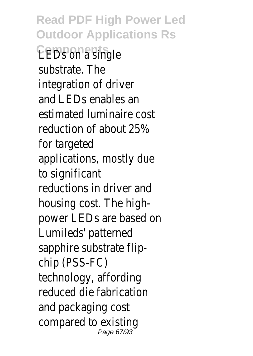**Read PDF High Power Led Outdoor Applications Rs LEDS on a single** substrate. The integration of driver and LEDs enables an estimated luminaire cost reduction of about 25% for targeted applications, mostly due to significant reductions in driver and housing cost. The highpower LEDs are based on Lumileds' patterned sapphire substrate flipchip (PSS-FC) technology, affording reduced die fabrication and packaging cost compared to existing Page 67/93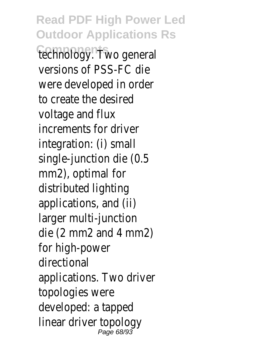**Read PDF High Power Led Outdoor Applications Rs Components** technology. Two general versions of PSS-FC die were developed in order to create the desired voltage and flux increments for driver integration: (i) small single-junction die (0.5 mm2), optimal for distributed lighting applications, and (ii) larger multi-junction die (2 mm2 and 4 mm2) for high-power directional applications. Two driver topologies were developed: a tapped linear driver topology Page 68/93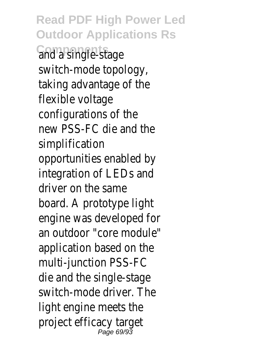**Read PDF High Power Led Outdoor Applications Rs Components** and a single-stage switch-mode topology, taking advantage of the flexible voltage configurations of the new PSS-FC die and the simplification opportunities enabled by integration of LEDs and driver on the same board. A prototype light engine was developed for an outdoor "core module" application based on the multi-junction PSS-FC die and the single-stage switch-mode driver. The light engine meets the project efficacy target Page 69/9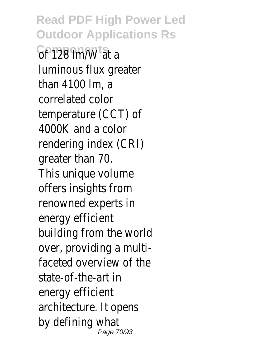**Read PDF High Power Led Outdoor Applications Rs Components** Components at a luminous flux greater than 4100 lm, a correlated color temperature (CCT) of 4000K and a color rendering index (CRI) greater than 70. This unique volume offers insights from renowned experts in energy efficient building from the world over, providing a multifaceted overview of the state-of-the-art in energy efficient architecture. It opens by defining what Page 70/93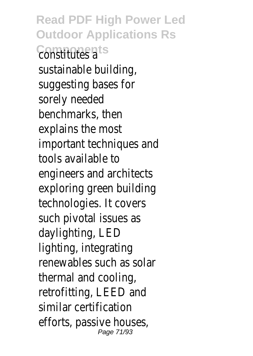**Read PDF High Power Led Outdoor Applications Rs Constitutes a** sustainable building, suggesting bases for sorely needed benchmarks, then explains the most important techniques and tools available to engineers and architects exploring green building technologies. It covers such pivotal issues as daylighting, LED lighting, integrating renewables such as solar thermal and cooling, retrofitting, LEED and similar certification efforts, passive houses, Page 71/93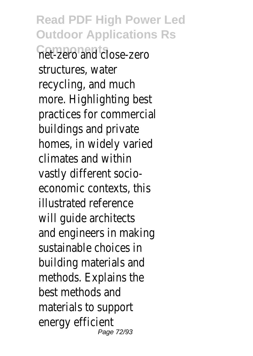**Read PDF High Power Led Outdoor Applications Rs Components** net-zero and close-zero structures, water recycling, and much more. Highlighting best practices for commercial buildings and private homes, in widely varied climates and within vastly different socioeconomic contexts, this illustrated reference will guide architects and engineers in making sustainable choices in building materials and methods. Explains the best methods and materials to support energy efficient Page 72/93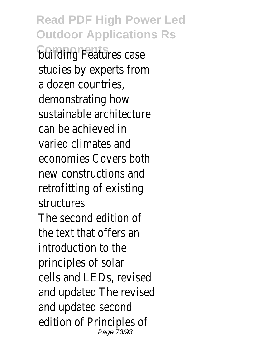**Read PDF High Power Led Outdoor Applications Rs Colliding Features case** studies by experts from a dozen countries, demonstrating how sustainable architecture can be achieved in varied climates and economies Covers both new constructions and retrofitting of existing structures The second edition of the text that offers an introduction to the principles of solar cells and LEDs, revised and updated The revised and updated second edition of Principles of Page 73/93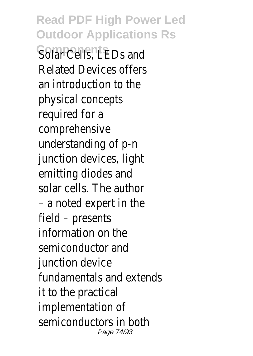**Read PDF High Power Led Outdoor Applications Rs Solar Cells, LEDs and** Related Devices offers an introduction to the physical concepts required for a comprehensive understanding of p-n junction devices, light emitting diodes and solar cells. The author – a noted expert in the field – presents information on the semiconductor and junction device fundamentals and extends it to the practical implementation of semiconductors in both Page 74/93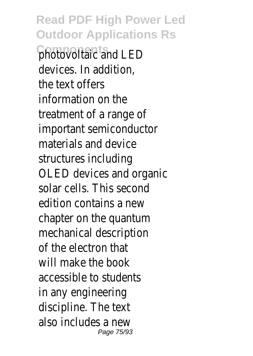**Read PDF High Power Led Outdoor Applications Rs Components** photovoltaic and LED devices. In addition, the text offers information on the treatment of a range of important semiconductor materials and device structures including OLED devices and organic solar cells. This second edition contains a new chapter on the quantum mechanical description of the electron that will make the book accessible to students in any engineering discipline. The text also includes a new Page 75/93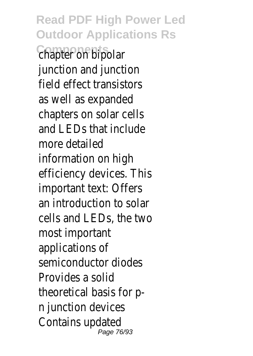**Read PDF High Power Led Outdoor Applications Rs Components** chapter on bipolar junction and junction field effect transistors as well as expanded chapters on solar cells and LEDs that include more detailed information on high efficiency devices. This important text: Offers an introduction to solar cells and LEDs, the two most important applications of semiconductor diodes Provides a solid theoretical basis for pn junction devices Contains updated Page 76/93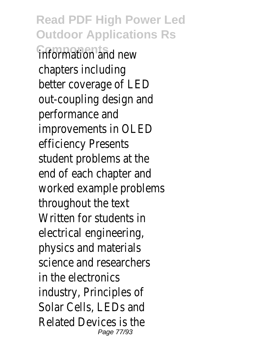**Read PDF High Power Led Outdoor Applications Rs Components** information and new chapters including better coverage of LED out-coupling design and performance and improvements in OLED efficiency Presents student problems at the end of each chapter and worked example problems throughout the text Written for students in electrical engineering, physics and materials science and researchers in the electronics industry, Principles of Solar Cells, LEDs and Related Devices is the Page 77/93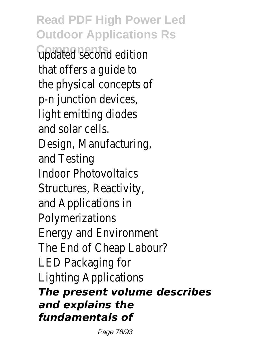**Read PDF High Power Led Outdoor Applications Rs Components** updated second edition that offers a guide to the physical concepts of p-n junction devices, light emitting diodes and solar cells. Design, Manufacturing, and Testing Indoor Photovoltaics Structures, Reactivity, and Applications in Polymerizations Energy and Environment The End of Cheap Labour? LED Packaging for Lighting Applications *The present volume describes and explains the fundamentals of*

Page 78/93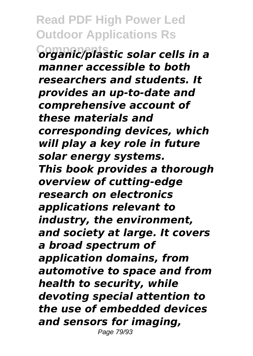**Read PDF High Power Led Outdoor Applications Rs Components** *organic/plastic solar cells in a manner accessible to both researchers and students. It provides an up-to-date and comprehensive account of these materials and corresponding devices, which will play a key role in future solar energy systems. This book provides a thorough overview of cutting-edge research on electronics applications relevant to industry, the environment, and society at large. It covers a broad spectrum of application domains, from automotive to space and from health to security, while devoting special attention to the use of embedded devices and sensors for imaging,* Page 79/93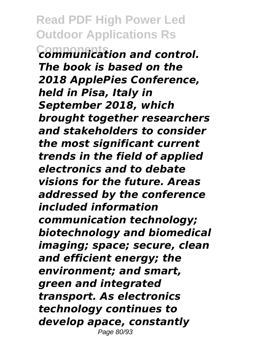**Read PDF High Power Led Outdoor Applications Rs Components** *communication and control. The book is based on the 2018 ApplePies Conference, held in Pisa, Italy in September 2018, which brought together researchers and stakeholders to consider the most significant current trends in the field of applied electronics and to debate visions for the future. Areas addressed by the conference included information communication technology; biotechnology and biomedical imaging; space; secure, clean and efficient energy; the environment; and smart, green and integrated transport. As electronics technology continues to develop apace, constantly* Page 80/93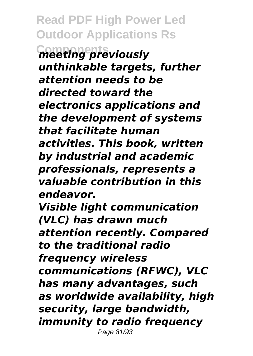**Read PDF High Power Led Outdoor Applications Rs Components** *meeting previously unthinkable targets, further attention needs to be directed toward the electronics applications and the development of systems that facilitate human activities. This book, written by industrial and academic professionals, represents a valuable contribution in this endeavor. Visible light communication (VLC) has drawn much attention recently. Compared to the traditional radio frequency wireless communications (RFWC), VLC has many advantages, such as worldwide availability, high security, large bandwidth, immunity to radio frequency* Page 81/93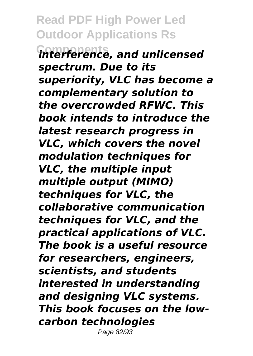**Read PDF High Power Led Outdoor Applications Rs Components** *interference, and unlicensed spectrum. Due to its superiority, VLC has become a complementary solution to the overcrowded RFWC. This book intends to introduce the latest research progress in VLC, which covers the novel modulation techniques for VLC, the multiple input multiple output (MIMO) techniques for VLC, the collaborative communication techniques for VLC, and the practical applications of VLC. The book is a useful resource for researchers, engineers, scientists, and students interested in understanding and designing VLC systems. This book focuses on the lowcarbon technologies* Page 82/93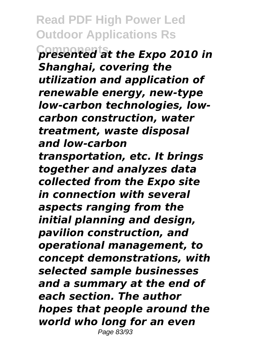**Read PDF High Power Led Outdoor Applications Rs Components** *presented at the Expo 2010 in Shanghai, covering the utilization and application of renewable energy, new-type low-carbon technologies, lowcarbon construction, water treatment, waste disposal and low-carbon transportation, etc. It brings together and analyzes data collected from the Expo site in connection with several aspects ranging from the initial planning and design, pavilion construction, and operational management, to concept demonstrations, with selected sample businesses and a summary at the end of each section. The author hopes that people around the world who long for an even* Page 83/93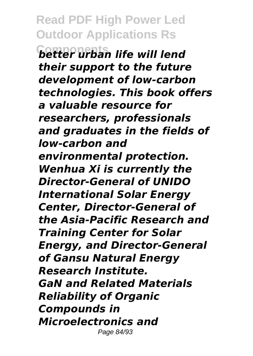**Read PDF High Power Led Outdoor Applications Rs Components** *better urban life will lend their support to the future development of low-carbon technologies. This book offers a valuable resource for researchers, professionals and graduates in the fields of low-carbon and environmental protection. Wenhua Xi is currently the Director-General of UNIDO International Solar Energy Center, Director-General of the Asia-Pacific Research and Training Center for Solar Energy, and Director-General of Gansu Natural Energy Research Institute. GaN and Related Materials Reliability of Organic Compounds in Microelectronics and* Page 84/93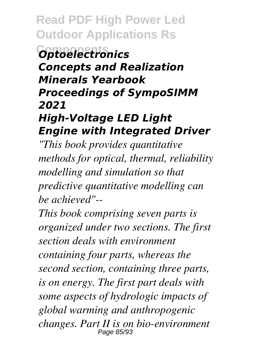**Read PDF High Power Led Outdoor Applications Rs**

#### **Components** *Optoelectronics Concepts and Realization Minerals Yearbook Proceedings of SympoSIMM 2021 High-Voltage LED Light*

## *Engine with Integrated Driver*

*"This book provides quantitative methods for optical, thermal, reliability modelling and simulation so that predictive quantitative modelling can be achieved"--*

*This book comprising seven parts is organized under two sections. The first section deals with environment containing four parts, whereas the second section, containing three parts, is on energy. The first part deals with some aspects of hydrologic impacts of global warming and anthropogenic changes. Part II is on bio-environment* Page 85/93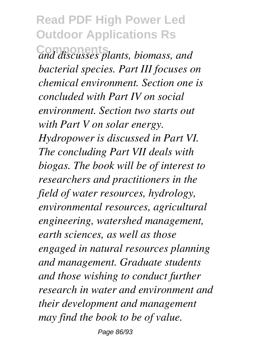### **Read PDF High Power Led Outdoor Applications Rs Components** *and discusses plants, biomass, and bacterial species. Part III focuses on chemical environment. Section one is concluded with Part IV on social environment. Section two starts out with Part V on solar energy. Hydropower is discussed in Part VI. The concluding Part VII deals with biogas. The book will be of interest to researchers and practitioners in the field of water resources, hydrology, environmental resources, agricultural engineering, watershed management, earth sciences, as well as those engaged in natural resources planning and management. Graduate students and those wishing to conduct further research in water and environment and their development and management may find the book to be of value.*

Page 86/93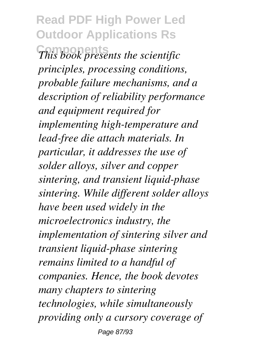**Read PDF High Power Led Outdoor Applications Rs Components** *This book presents the scientific principles, processing conditions, probable failure mechanisms, and a description of reliability performance and equipment required for implementing high-temperature and lead-free die attach materials. In particular, it addresses the use of solder alloys, silver and copper sintering, and transient liquid-phase sintering. While different solder alloys have been used widely in the microelectronics industry, the implementation of sintering silver and transient liquid-phase sintering remains limited to a handful of companies. Hence, the book devotes many chapters to sintering technologies, while simultaneously providing only a cursory coverage of* Page 87/93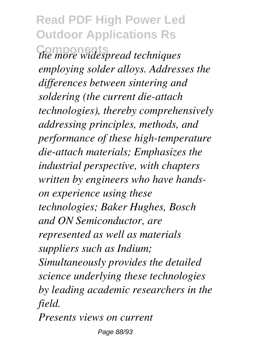**Read PDF High Power Led Outdoor Applications Rs Components** *the more widespread techniques employing solder alloys. Addresses the differences between sintering and soldering (the current die-attach technologies), thereby comprehensively addressing principles, methods, and performance of these high-temperature die-attach materials; Emphasizes the industrial perspective, with chapters written by engineers who have handson experience using these technologies; Baker Hughes, Bosch and ON Semiconductor, are represented as well as materials suppliers such as Indium; Simultaneously provides the detailed science underlying these technologies by leading academic researchers in the field.*

*Presents views on current*

Page 88/93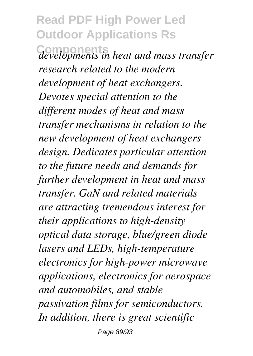### **Read PDF High Power Led Outdoor Applications Rs**

**Components** *developments in heat and mass transfer research related to the modern development of heat exchangers. Devotes special attention to the different modes of heat and mass transfer mechanisms in relation to the new development of heat exchangers design. Dedicates particular attention to the future needs and demands for further development in heat and mass transfer. GaN and related materials are attracting tremendous interest for their applications to high-density optical data storage, blue/green diode lasers and LEDs, high-temperature electronics for high-power microwave applications, electronics for aerospace and automobiles, and stable passivation films for semiconductors. In addition, there is great scientific*

Page 89/93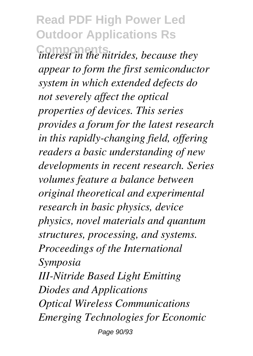## **Read PDF High Power Led Outdoor Applications Rs**

**Components** *interest in the nitrides, because they appear to form the first semiconductor system in which extended defects do not severely affect the optical properties of devices. This series provides a forum for the latest research in this rapidly-changing field, offering readers a basic understanding of new developments in recent research. Series volumes feature a balance between original theoretical and experimental research in basic physics, device physics, novel materials and quantum structures, processing, and systems. Proceedings of the International Symposia III-Nitride Based Light Emitting Diodes and Applications Optical Wireless Communications Emerging Technologies for Economic* Page 90/93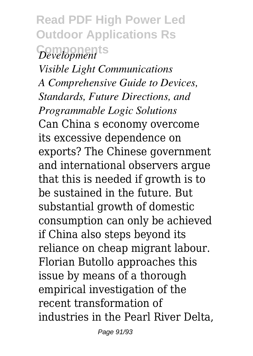# **Read PDF High Power Led Outdoor Applications Rs Components** *Development*

*Visible Light Communications A Comprehensive Guide to Devices, Standards, Future Directions, and Programmable Logic Solutions* Can China s economy overcome its excessive dependence on exports? The Chinese government and international observers argue that this is needed if growth is to be sustained in the future. But substantial growth of domestic consumption can only be achieved if China also steps beyond its reliance on cheap migrant labour. Florian Butollo approaches this issue by means of a thorough empirical investigation of the recent transformation of industries in the Pearl River Delta,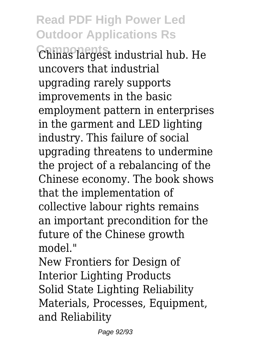### **Read PDF High Power Led Outdoor Applications Rs**

**Components** Chinas largest industrial hub. He uncovers that industrial upgrading rarely supports improvements in the basic employment pattern in enterprises in the garment and LED lighting industry. This failure of social upgrading threatens to undermine the project of a rebalancing of the Chinese economy. The book shows that the implementation of collective labour rights remains an important precondition for the future of the Chinese growth model."

New Frontiers for Design of Interior Lighting Products Solid State Lighting Reliability Materials, Processes, Equipment, and Reliability

Page 92/93